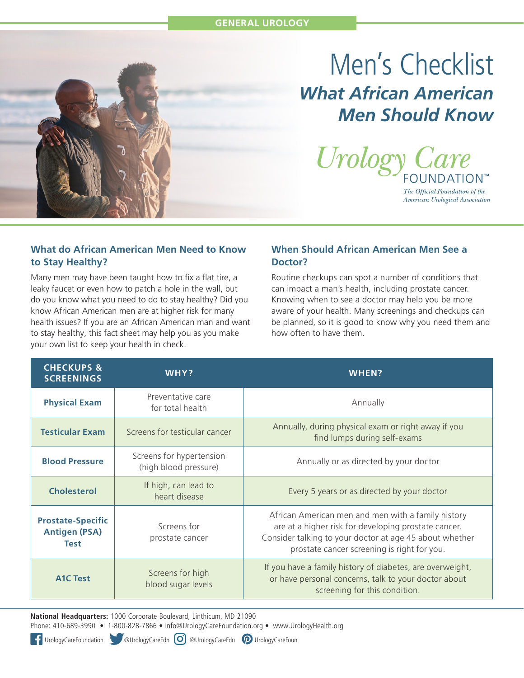# Men's Checklist *What African American Men Should Know*



The Official Foundation of the American Urological Association

#### **What do African American Men Need to Know to Stay Healthy?**

Many men may have been taught how to fix a flat tire, a leaky faucet or even how to patch a hole in the wall, but do you know what you need to do to stay healthy? Did you know African American men are at higher risk for many health issues? If you are an African American man and want to stay healthy, this fact sheet may help you as you make your own list to keep your health in check.

#### **When Should African American Men See a Doctor?**

Routine checkups can spot a number of conditions that can impact a man's health, including prostate cancer. Knowing when to see a doctor may help you be more aware of your health. Many screenings and checkups can be planned, so it is good to know why you need them and how often to have them.

| <b>CHECKUPS &amp;</b><br><b>SCREENINGS</b>                      | WHY?                                              | WHEN?                                                                                                                                                                                                                |
|-----------------------------------------------------------------|---------------------------------------------------|----------------------------------------------------------------------------------------------------------------------------------------------------------------------------------------------------------------------|
| <b>Physical Exam</b>                                            | Preventative care<br>for total health             | Annually                                                                                                                                                                                                             |
| <b>Testicular Exam</b>                                          | Screens for testicular cancer                     | Annually, during physical exam or right away if you<br>find lumps during self-exams                                                                                                                                  |
| <b>Blood Pressure</b>                                           | Screens for hypertension<br>(high blood pressure) | Annually or as directed by your doctor                                                                                                                                                                               |
| <b>Cholesterol</b>                                              | If high, can lead to<br>heart disease             | Every 5 years or as directed by your doctor                                                                                                                                                                          |
| <b>Prostate-Specific</b><br><b>Antigen (PSA)</b><br><b>Test</b> | Screens for<br>prostate cancer                    | African American men and men with a family history<br>are at a higher risk for developing prostate cancer.<br>Consider talking to your doctor at age 45 about whether<br>prostate cancer screening is right for you. |
| <b>A1C Test</b>                                                 | Screens for high<br>blood sugar levels            | If you have a family history of diabetes, are overweight,<br>or have personal concerns, talk to your doctor about<br>screening for this condition.                                                                   |

**National Headquarters:** 1000 Corporate Boulevard, Linthicum, MD 21090

Phone: 410-689-3990 • 1-800-828-7866 • info@UrologyCareFoundation.org • www.UrologyHealth.org